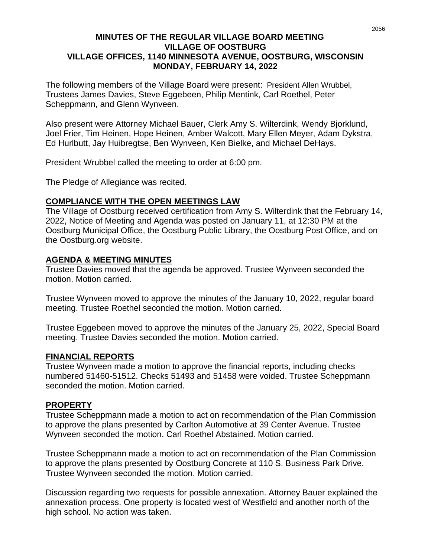#### **MINUTES OF THE REGULAR VILLAGE BOARD MEETING VILLAGE OF OOSTBURG VILLAGE OFFICES, 1140 MINNESOTA AVENUE, OOSTBURG, WISCONSIN MONDAY, FEBRUARY 14, 2022**

The following members of the Village Board were present: President Allen Wrubbel, Trustees James Davies, Steve Eggebeen, Philip Mentink, Carl Roethel, Peter Scheppmann, and Glenn Wynveen.

Also present were Attorney Michael Bauer, Clerk Amy S. Wilterdink, Wendy Bjorklund, Joel Frier, Tim Heinen, Hope Heinen, Amber Walcott, Mary Ellen Meyer, Adam Dykstra, Ed Hurlbutt, Jay Huibregtse, Ben Wynveen, Ken Bielke, and Michael DeHays.

President Wrubbel called the meeting to order at 6:00 pm.

The Pledge of Allegiance was recited.

#### **COMPLIANCE WITH THE OPEN MEETINGS LAW**

The Village of Oostburg received certification from Amy S. Wilterdink that the February 14, 2022, Notice of Meeting and Agenda was posted on January 11, at 12:30 PM at the Oostburg Municipal Office, the Oostburg Public Library, the Oostburg Post Office, and on the Oostburg.org website.

#### **AGENDA & MEETING MINUTES**

Trustee Davies moved that the agenda be approved. Trustee Wynveen seconded the motion. Motion carried.

Trustee Wynveen moved to approve the minutes of the January 10, 2022, regular board meeting. Trustee Roethel seconded the motion. Motion carried.

Trustee Eggebeen moved to approve the minutes of the January 25, 2022, Special Board meeting. Trustee Davies seconded the motion. Motion carried.

#### **FINANCIAL REPORTS**

Trustee Wynveen made a motion to approve the financial reports, including checks numbered 51460-51512. Checks 51493 and 51458 were voided. Trustee Scheppmann seconded the motion. Motion carried.

#### **PROPERTY**

Trustee Scheppmann made a motion to act on recommendation of the Plan Commission to approve the plans presented by Carlton Automotive at 39 Center Avenue. Trustee Wynveen seconded the motion. Carl Roethel Abstained. Motion carried.

Trustee Scheppmann made a motion to act on recommendation of the Plan Commission to approve the plans presented by Oostburg Concrete at 110 S. Business Park Drive. Trustee Wynveen seconded the motion. Motion carried.

Discussion regarding two requests for possible annexation. Attorney Bauer explained the annexation process. One property is located west of Westfield and another north of the high school. No action was taken.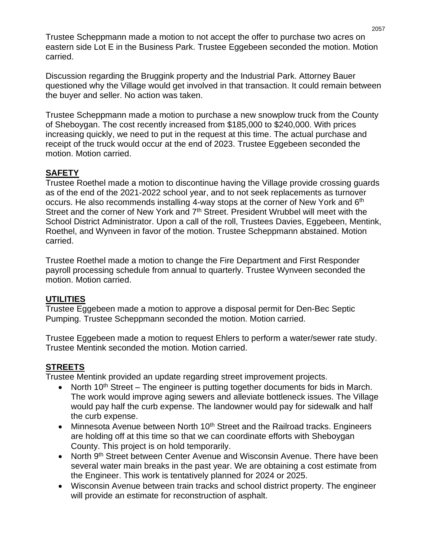Trustee Scheppmann made a motion to not accept the offer to purchase two acres on eastern side Lot E in the Business Park. Trustee Eggebeen seconded the motion. Motion carried.

Discussion regarding the Bruggink property and the Industrial Park. Attorney Bauer questioned why the Village would get involved in that transaction. It could remain between the buyer and seller. No action was taken.

Trustee Scheppmann made a motion to purchase a new snowplow truck from the County of Sheboygan. The cost recently increased from \$185,000 to \$240,000. With prices increasing quickly, we need to put in the request at this time. The actual purchase and receipt of the truck would occur at the end of 2023. Trustee Eggebeen seconded the motion. Motion carried.

# **SAFETY**

Trustee Roethel made a motion to discontinue having the Village provide crossing guards as of the end of the 2021-2022 school year, and to not seek replacements as turnover occurs. He also recommends installing 4-way stops at the corner of New York and 6<sup>th</sup> Street and the corner of New York and 7<sup>th</sup> Street. President Wrubbel will meet with the School District Administrator. Upon a call of the roll, Trustees Davies, Eggebeen, Mentink, Roethel, and Wynveen in favor of the motion. Trustee Scheppmann abstained. Motion carried.

Trustee Roethel made a motion to change the Fire Department and First Responder payroll processing schedule from annual to quarterly. Trustee Wynveen seconded the motion. Motion carried.

## **UTILITIES**

Trustee Eggebeen made a motion to approve a disposal permit for Den-Bec Septic Pumping. Trustee Scheppmann seconded the motion. Motion carried.

Trustee Eggebeen made a motion to request Ehlers to perform a water/sewer rate study. Trustee Mentink seconded the motion. Motion carried.

# **STREETS**

Trustee Mentink provided an update regarding street improvement projects.

- North 10<sup>th</sup> Street The engineer is putting together documents for bids in March. The work would improve aging sewers and alleviate bottleneck issues. The Village would pay half the curb expense. The landowner would pay for sidewalk and half the curb expense.
- Minnesota Avenue between North  $10<sup>th</sup>$  Street and the Railroad tracks. Engineers are holding off at this time so that we can coordinate efforts with Sheboygan County. This project is on hold temporarily.
- North 9<sup>th</sup> Street between Center Avenue and Wisconsin Avenue. There have been several water main breaks in the past year. We are obtaining a cost estimate from the Engineer. This work is tentatively planned for 2024 or 2025.
- Wisconsin Avenue between train tracks and school district property. The engineer will provide an estimate for reconstruction of asphalt.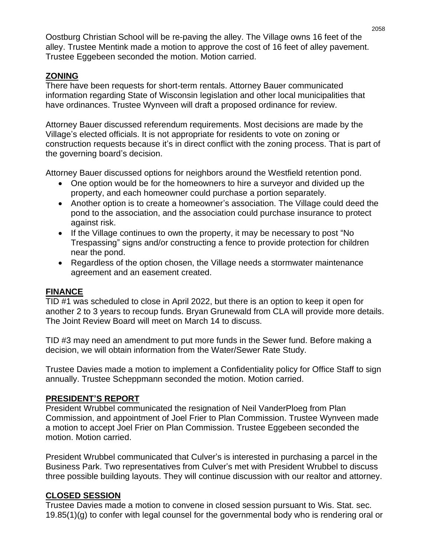Oostburg Christian School will be re-paving the alley. The Village owns 16 feet of the alley. Trustee Mentink made a motion to approve the cost of 16 feet of alley pavement. Trustee Eggebeen seconded the motion. Motion carried.

## **ZONING**

There have been requests for short-term rentals. Attorney Bauer communicated information regarding State of Wisconsin legislation and other local municipalities that have ordinances. Trustee Wynveen will draft a proposed ordinance for review.

Attorney Bauer discussed referendum requirements. Most decisions are made by the Village's elected officials. It is not appropriate for residents to vote on zoning or construction requests because it's in direct conflict with the zoning process. That is part of the governing board's decision.

Attorney Bauer discussed options for neighbors around the Westfield retention pond.

- One option would be for the homeowners to hire a surveyor and divided up the property, and each homeowner could purchase a portion separately.
- Another option is to create a homeowner's association. The Village could deed the pond to the association, and the association could purchase insurance to protect against risk.
- If the Village continues to own the property, it may be necessary to post "No Trespassing" signs and/or constructing a fence to provide protection for children near the pond.
- Regardless of the option chosen, the Village needs a stormwater maintenance agreement and an easement created.

## **FINANCE**

TID #1 was scheduled to close in April 2022, but there is an option to keep it open for another 2 to 3 years to recoup funds. Bryan Grunewald from CLA will provide more details. The Joint Review Board will meet on March 14 to discuss.

TID #3 may need an amendment to put more funds in the Sewer fund. Before making a decision, we will obtain information from the Water/Sewer Rate Study.

Trustee Davies made a motion to implement a Confidentiality policy for Office Staff to sign annually. Trustee Scheppmann seconded the motion. Motion carried.

## **PRESIDENT'S REPORT**

President Wrubbel communicated the resignation of Neil VanderPloeg from Plan Commission, and appointment of Joel Frier to Plan Commission. Trustee Wynveen made a motion to accept Joel Frier on Plan Commission. Trustee Eggebeen seconded the motion. Motion carried.

President Wrubbel communicated that Culver's is interested in purchasing a parcel in the Business Park. Two representatives from Culver's met with President Wrubbel to discuss three possible building layouts. They will continue discussion with our realtor and attorney.

## **CLOSED SESSION**

Trustee Davies made a motion to convene in closed session pursuant to Wis. Stat. sec. 19.85(1)(g) to confer with legal counsel for the governmental body who is rendering oral or